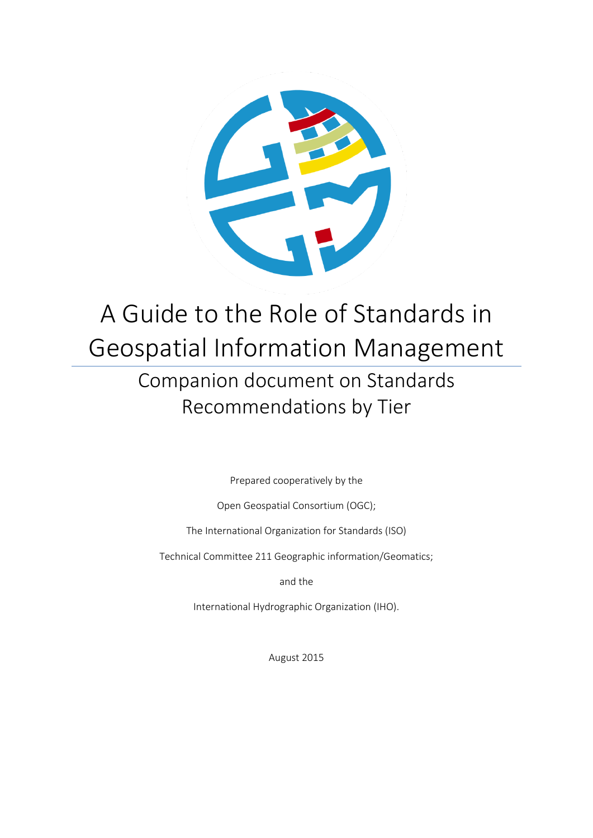

# A Guide to the Role of Standards in Geospatial Information Management Companion document on Standards Recommendations by Tier

Prepared cooperatively by the

Open Geospatial Consortium (OGC);

The International Organization for Standards (ISO)

Technical Committee 211 Geographic information/Geomatics;

and the

International Hydrographic Organization (IHO).

August 2015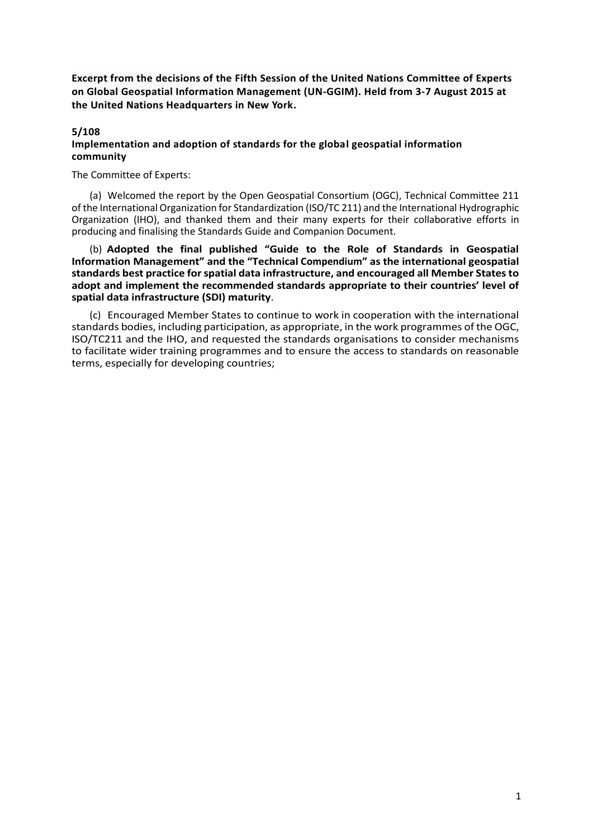**Excerpt from the decisions of the Fifth Session of the United Nations Committee of Experts on Global Geospatial Information Management (UN-GGIM). Held from 3-7 August 2015 at the United Nations Headquarters in New York.**

#### **5/108**

#### **Implementation and adoption of standards for the global geospatial information community**

The Committee of Experts:

(a) Welcomed the report by the Open Geospatial Consortium (OGC), Technical Committee 211 of the International Organization for Standardization (ISO/TC 211) and the International Hydrographic Organization (IHO), and thanked them and their many experts for their collaborative efforts in producing and finalising the Standards Guide and Companion Document.

(b) **Adopted the final published "Guide to the Role of Standards in Geospatial Information Management" and the "Technical Compendium" as the international geospatial standards best practice for spatial data infrastructure, and encouraged all Member States to adopt and implement the recommended standards appropriate to their countries' level of spatial data infrastructure (SDI) maturity**.

(c) Encouraged Member States to continue to work in cooperation with the international standards bodies, including participation, as appropriate, in the work programmes of the OGC, ISO/TC211 and the IHO, and requested the standards organisations to consider mechanisms to facilitate wider training programmes and to ensure the access to standards on reasonable terms, especially for developing countries;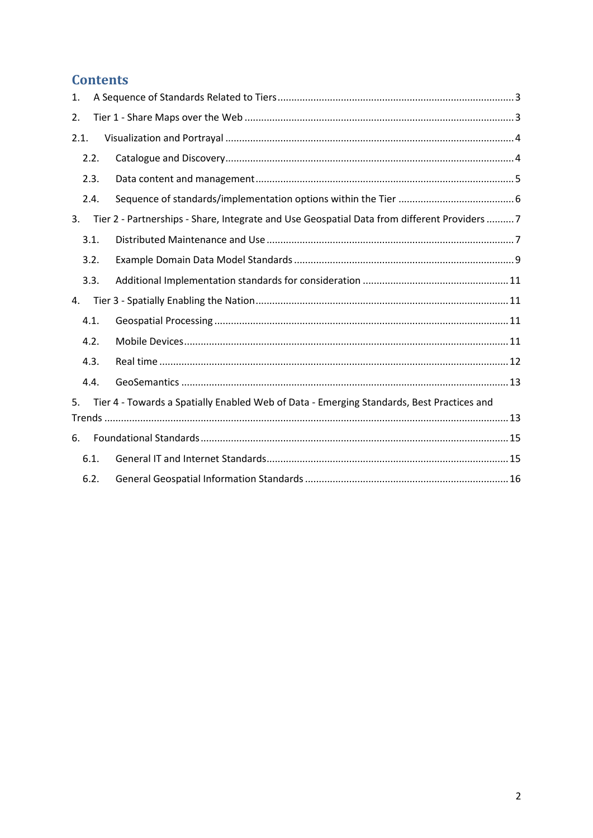# **Contents**

| 1. |      |                                                                                              |  |
|----|------|----------------------------------------------------------------------------------------------|--|
| 2. |      |                                                                                              |  |
|    | 2.1. |                                                                                              |  |
|    | 2.2. |                                                                                              |  |
|    | 2.3. |                                                                                              |  |
|    | 2.4. |                                                                                              |  |
| 3. |      | Tier 2 - Partnerships - Share, Integrate and Use Geospatial Data from different Providers  7 |  |
|    | 3.1. |                                                                                              |  |
|    | 3.2. |                                                                                              |  |
|    | 3.3. |                                                                                              |  |
| 4. |      |                                                                                              |  |
|    | 4.1. |                                                                                              |  |
|    | 4.2. |                                                                                              |  |
|    | 4.3. |                                                                                              |  |
|    | 4.4. |                                                                                              |  |
| 5. |      | Tier 4 - Towards a Spatially Enabled Web of Data - Emerging Standards, Best Practices and    |  |
|    |      |                                                                                              |  |
| 6. |      |                                                                                              |  |
|    | 6.1. |                                                                                              |  |
|    | 6.2. |                                                                                              |  |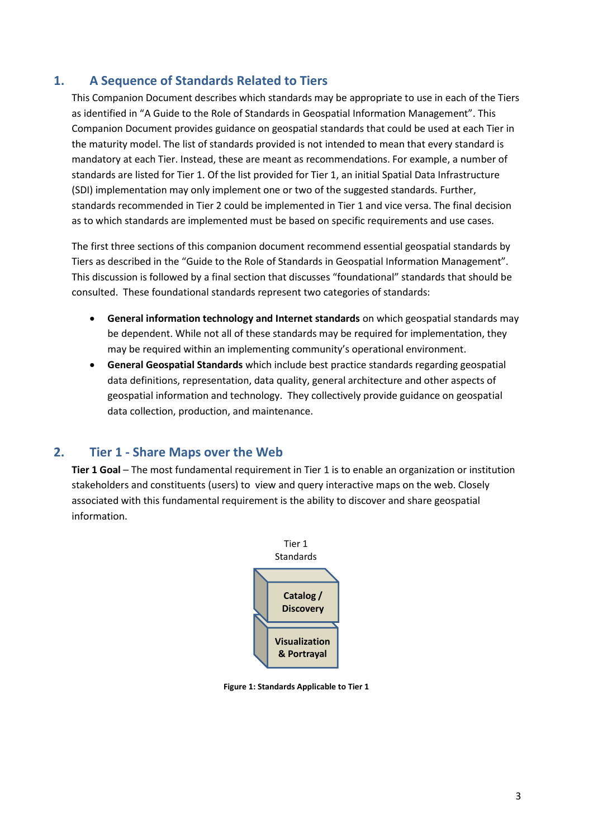# <span id="page-3-0"></span>**1. A Sequence of Standards Related to Tiers**

This Companion Document describes which standards may be appropriate to use in each of the Tiers as identified in "A Guide to the Role of Standards in Geospatial Information Management". This Companion Document provides guidance on geospatial standards that could be used at each Tier in the maturity model. The list of standards provided is not intended to mean that every standard is mandatory at each Tier. Instead, these are meant as recommendations. For example, a number of standards are listed for Tier 1. Of the list provided for Tier 1, an initial Spatial Data Infrastructure (SDI) implementation may only implement one or two of the suggested standards. Further, standards recommended in Tier 2 could be implemented in Tier 1 and vice versa. The final decision as to which standards are implemented must be based on specific requirements and use cases.

The first three sections of this companion document recommend essential geospatial standards by Tiers as described in the "Guide to the Role of Standards in Geospatial Information Management". This discussion is followed by a final section that discusses "foundational" standards that should be consulted. These foundational standards represent two categories of standards:

- **General information technology and Internet standards** on which geospatial standards may be dependent. While not all of these standards may be required for implementation, they may be required within an implementing community's operational environment.
- **General Geospatial Standards** which include best practice standards regarding geospatial data definitions, representation, data quality, general architecture and other aspects of geospatial information and technology. They collectively provide guidance on geospatial data collection, production, and maintenance.

### <span id="page-3-1"></span>**2. Tier 1 - Share Maps over the Web**

**Tier 1 Goal** – The most fundamental requirement in Tier 1 is to enable an organization or institution stakeholders and constituents (users) to view and query interactive maps on the web. Closely associated with this fundamental requirement is the ability to discover and share geospatial information.



**Figure 1: Standards Applicable to Tier 1**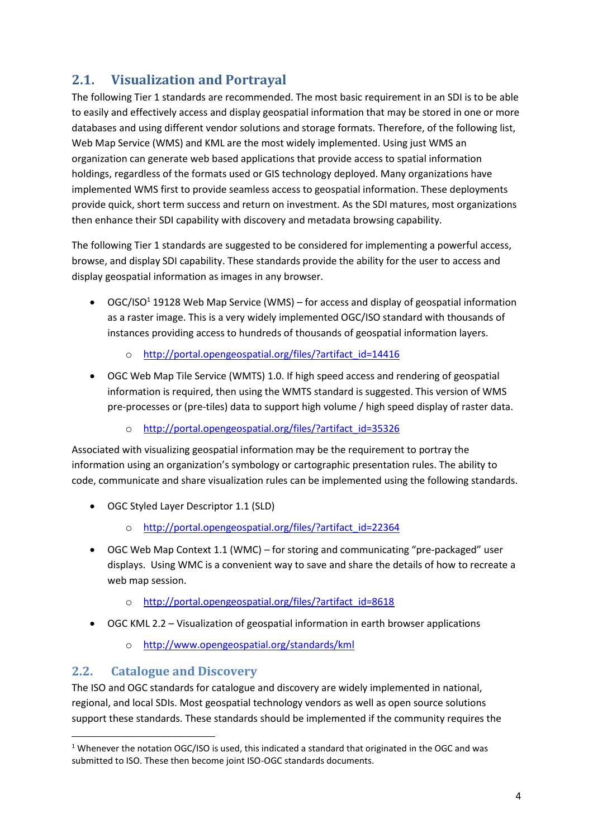# <span id="page-4-0"></span>**2.1. Visualization and Portrayal**

The following Tier 1 standards are recommended. The most basic requirement in an SDI is to be able to easily and effectively access and display geospatial information that may be stored in one or more databases and using different vendor solutions and storage formats. Therefore, of the following list, Web Map Service (WMS) and KML are the most widely implemented. Using just WMS an organization can generate web based applications that provide access to spatial information holdings, regardless of the formats used or GIS technology deployed. Many organizations have implemented WMS first to provide seamless access to geospatial information. These deployments provide quick, short term success and return on investment. As the SDI matures, most organizations then enhance their SDI capability with discovery and metadata browsing capability.

The following Tier 1 standards are suggested to be considered for implementing a powerful access, browse, and display SDI capability. These standards provide the ability for the user to access and display geospatial information as images in any browser.

- $\bullet$  OGC/ISO<sup>1</sup> 19128 Web Map Service (WMS) for access and display of geospatial information as a raster image. This is a very widely implemented OGC/ISO standard with thousands of instances providing access to hundreds of thousands of geospatial information layers.
	- [http://portal.opengeospatial.org/files/?artifact\\_id=14416](http://portal.opengeospatial.org/files/?artifact_id=14416)
- OGC Web Map Tile Service (WMTS) 1.0. If high speed access and rendering of geospatial information is required, then using the WMTS standard is suggested. This version of WMS pre-processes or (pre-tiles) data to support high volume / high speed display of raster data.
	- o [http://portal.opengeospatial.org/files/?artifact\\_id=35326](http://portal.opengeospatial.org/files/?artifact_id=35326)

Associated with visualizing geospatial information may be the requirement to portray the information using an organization's symbology or cartographic presentation rules. The ability to code, communicate and share visualization rules can be implemented using the following standards.

- OGC Styled Layer Descriptor 1.1 (SLD)
	- o [http://portal.opengeospatial.org/files/?artifact\\_id=22364](http://portal.opengeospatial.org/files/?artifact_id=22364)
- OGC Web Map Context 1.1 (WMC) for storing and communicating "pre-packaged" user displays. Using WMC is a convenient way to save and share the details of how to recreate a web map session.
	- o [http://portal.opengeospatial.org/files/?artifact\\_id=8618](http://portal.opengeospatial.org/files/?artifact_id=8618)
- OGC KML 2.2 Visualization of geospatial information in earth browser applications
	- o <http://www.opengeospatial.org/standards/kml>

## <span id="page-4-1"></span>**2.2. Catalogue and Discovery**

1

The ISO and OGC standards for catalogue and discovery are widely implemented in national, regional, and local SDIs. Most geospatial technology vendors as well as open source solutions support these standards. These standards should be implemented if the community requires the

<sup>&</sup>lt;sup>1</sup> Whenever the notation OGC/ISO is used, this indicated a standard that originated in the OGC and was submitted to ISO. These then become joint ISO-OGC standards documents.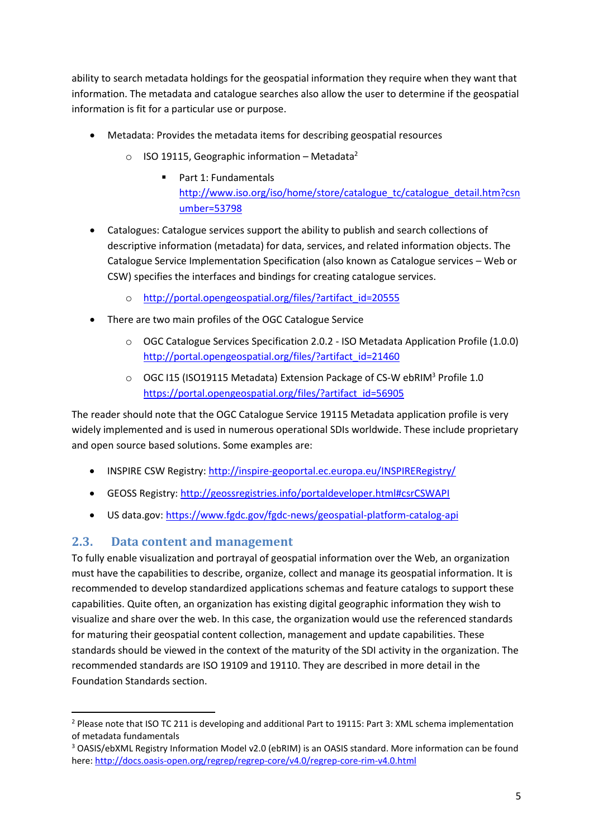ability to search metadata holdings for the geospatial information they require when they want that information. The metadata and catalogue searches also allow the user to determine if the geospatial information is fit for a particular use or purpose.

- Metadata: Provides the metadata items for describing geospatial resources
	- $\circ$  ISO 19115, Geographic information Metadata<sup>2</sup>
		- Part 1: Fundamentals [http://www.iso.org/iso/home/store/catalogue\\_tc/catalogue\\_detail.htm?csn](http://www.iso.org/iso/home/store/catalogue_tc/catalogue_detail.htm?csnumber=53798) [umber=53798](http://www.iso.org/iso/home/store/catalogue_tc/catalogue_detail.htm?csnumber=53798)
- Catalogues: Catalogue services support the ability to publish and search collections of descriptive information (metadata) for data, services, and related information objects. The Catalogue Service Implementation Specification (also known as Catalogue services – Web or CSW) specifies the interfaces and bindings for creating catalogue services.
	- o [http://portal.opengeospatial.org/files/?artifact\\_id=20555](http://portal.opengeospatial.org/files/?artifact_id=20555)
- There are two main profiles of the OGC Catalogue Service
	- o OGC Catalogue Services Specification 2.0.2 ISO Metadata Application Profile (1.0.0) [http://portal.opengeospatial.org/files/?artifact\\_id=21460](http://portal.opengeospatial.org/files/?artifact_id=21460)
	- o OGC I15 (ISO19115 Metadata) Extension Package of CS-W ebRIM<sup>3</sup> Profile 1.0 [https://portal.opengeospatial.org/files/?artifact\\_id=56905](https://portal.opengeospatial.org/files/?artifact_id=56905)

The reader should note that the OGC Catalogue Service 19115 Metadata application profile is very widely implemented and is used in numerous operational SDIs worldwide. These include proprietary and open source based solutions. Some examples are:

- INSPIRE CSW Registry[: http://inspire-geoportal.ec.europa.eu/INSPIRERegistry/](http://inspire-geoportal.ec.europa.eu/INSPIRERegistry/)
- GEOSS Registry:<http://geossregistries.info/portaldeveloper.html#csrCSWAPI>
- US data.gov[: https://www.fgdc.gov/fgdc-news/geospatial-platform-catalog-api](https://www.fgdc.gov/fgdc-news/geospatial-platform-catalog-api)

### <span id="page-5-0"></span>**2.3. Data content and management**

**.** 

To fully enable visualization and portrayal of geospatial information over the Web, an organization must have the capabilities to describe, organize, collect and manage its geospatial information. It is recommended to develop standardized applications schemas and feature catalogs to support these capabilities. Quite often, an organization has existing digital geographic information they wish to visualize and share over the web. In this case, the organization would use the referenced standards for maturing their geospatial content collection, management and update capabilities. These standards should be viewed in the context of the maturity of the SDI activity in the organization. The recommended standards are ISO 19109 and 19110. They are described in more detail in the Foundation Standards section.

<sup>2</sup> Please note that ISO TC 211 is developing and additional Part to 19115: Part 3: XML schema implementation of metadata fundamentals

<sup>3</sup> OASIS/ebXML Registry Information Model v2.0 (ebRIM) is an OASIS standard. More information can be found here[: http://docs.oasis-open.org/regrep/regrep-core/v4.0/regrep-core-rim-v4.0.html](http://docs.oasis-open.org/regrep/regrep-core/v4.0/regrep-core-rim-v4.0.html)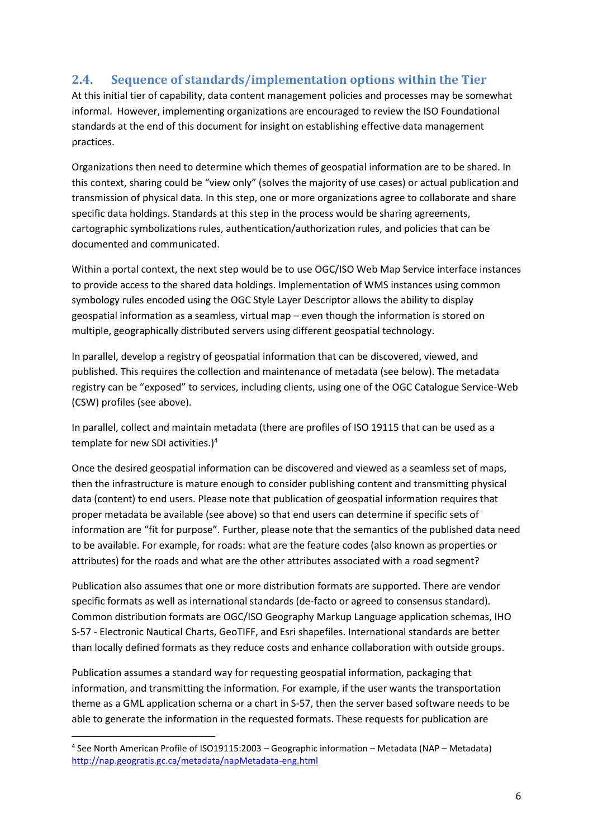## <span id="page-6-0"></span>**2.4. Sequence of standards/implementation options within the Tier**

At this initial tier of capability, data content management policies and processes may be somewhat informal. However, implementing organizations are encouraged to review the ISO Foundational standards at the end of this document for insight on establishing effective data management practices.

Organizations then need to determine which themes of geospatial information are to be shared. In this context, sharing could be "view only" (solves the majority of use cases) or actual publication and transmission of physical data. In this step, one or more organizations agree to collaborate and share specific data holdings. Standards at this step in the process would be sharing agreements, cartographic symbolizations rules, authentication/authorization rules, and policies that can be documented and communicated.

Within a portal context, the next step would be to use OGC/ISO Web Map Service interface instances to provide access to the shared data holdings. Implementation of WMS instances using common symbology rules encoded using the OGC Style Layer Descriptor allows the ability to display geospatial information as a seamless, virtual map – even though the information is stored on multiple, geographically distributed servers using different geospatial technology.

In parallel, develop a registry of geospatial information that can be discovered, viewed, and published. This requires the collection and maintenance of metadata (see below). The metadata registry can be "exposed" to services, including clients, using one of the OGC Catalogue Service-Web (CSW) profiles (see above).

In parallel, collect and maintain metadata (there are profiles of ISO 19115 that can be used as a template for new SDI activities.)<sup>4</sup>

Once the desired geospatial information can be discovered and viewed as a seamless set of maps, then the infrastructure is mature enough to consider publishing content and transmitting physical data (content) to end users. Please note that publication of geospatial information requires that proper metadata be available (see above) so that end users can determine if specific sets of information are "fit for purpose". Further, please note that the semantics of the published data need to be available. For example, for roads: what are the feature codes (also known as properties or attributes) for the roads and what are the other attributes associated with a road segment?

Publication also assumes that one or more distribution formats are supported. There are vendor specific formats as well as international standards (de-facto or agreed to consensus standard). Common distribution formats are OGC/ISO Geography Markup Language application schemas, IHO S-57 - Electronic Nautical Charts, GeoTIFF, and Esri shapefiles. International standards are better than locally defined formats as they reduce costs and enhance collaboration with outside groups.

Publication assumes a standard way for requesting geospatial information, packaging that information, and transmitting the information. For example, if the user wants the transportation theme as a GML application schema or a chart in S-57, then the server based software needs to be able to generate the information in the requested formats. These requests for publication are

1

<sup>4</sup> See North American Profile of ISO19115:2003 – Geographic information – Metadata (NAP – Metadata) <http://nap.geogratis.gc.ca/metadata/napMetadata-eng.html>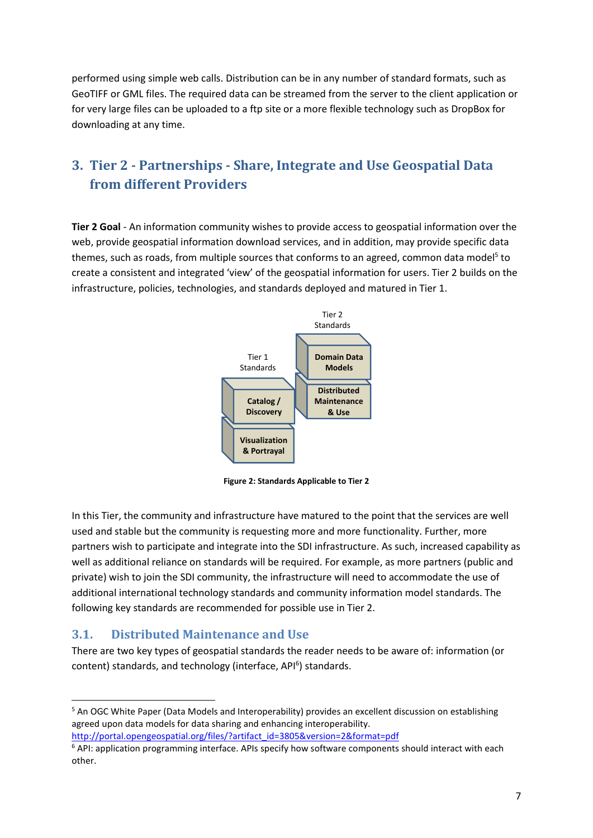performed using simple web calls. Distribution can be in any number of standard formats, such as GeoTIFF or GML files. The required data can be streamed from the server to the client application or for very large files can be uploaded to a ftp site or a more flexible technology such as DropBox for downloading at any time.

# <span id="page-7-0"></span>**3. Tier 2 - Partnerships - Share, Integrate and Use Geospatial Data from different Providers**

**Tier 2 Goal** - An information community wishes to provide access to geospatial information over the web, provide geospatial information download services, and in addition, may provide specific data themes, such as roads, from multiple sources that conforms to an agreed, common data model<sup>5</sup> to create a consistent and integrated 'view' of the geospatial information for users. Tier 2 builds on the infrastructure, policies, technologies, and standards deployed and matured in Tier 1.



**Figure 2: Standards Applicable to Tier 2**

In this Tier, the community and infrastructure have matured to the point that the services are well used and stable but the community is requesting more and more functionality. Further, more partners wish to participate and integrate into the SDI infrastructure. As such, increased capability as well as additional reliance on standards will be required. For example, as more partners (public and private) wish to join the SDI community, the infrastructure will need to accommodate the use of additional international technology standards and community information model standards. The following key standards are recommended for possible use in Tier 2.

### <span id="page-7-1"></span>**3.1. Distributed Maintenance and Use**

 $\overline{a}$ 

There are two key types of geospatial standards the reader needs to be aware of: information (or content) standards, and technology (interface, API<sup>6</sup>) standards.

[http://portal.opengeospatial.org/files/?artifact\\_id=3805&version=2&format=pdf](http://portal.opengeospatial.org/files/?artifact_id=3805&version=2&format=pdf)

<sup>&</sup>lt;sup>5</sup> An OGC White Paper (Data Models and Interoperability) provides an excellent discussion on establishing agreed upon data models for data sharing and enhancing interoperability.

 $6$  API: application programming interface. APIs specify how software components should interact with each other.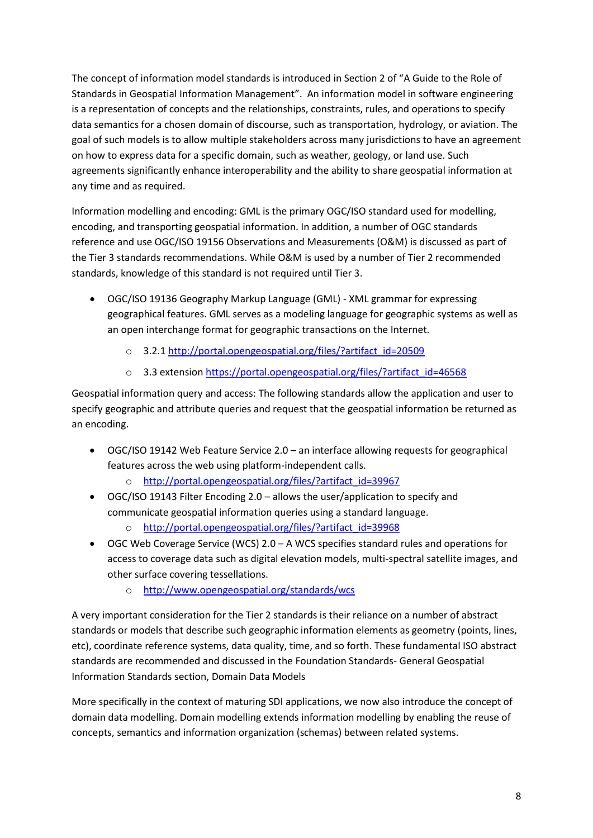The concept of information model standards is introduced in Section 2 of "A Guide to the Role of Standards in Geospatial Information Management". An information model in software engineering is a representation of concepts and the relationships, constraints, rules, and operations to specify data semantics for a chosen domain of discourse, such as transportation, hydrology, or aviation. The goal of such models is to allow multiple stakeholders across many jurisdictions to have an agreement on how to express data for a specific domain, such as weather, geology, or land use. Such agreements significantly enhance interoperability and the ability to share geospatial information at any time and as required.

Information modelling and encoding: GML is the primary OGC/ISO standard used for modelling, encoding, and transporting geospatial information. In addition, a number of OGC standards reference and use OGC/ISO 19156 Observations and Measurements (O&M) is discussed as part of the Tier 3 standards recommendations. While O&M is used by a number of Tier 2 recommended standards, knowledge of this standard is not required until Tier 3.

- OGC/ISO 19136 Geography Markup Language (GML) XML grammar for expressing geographical features. GML serves as a modeling language for geographic systems as well as an open interchange format for geographic transactions on the Internet.
	- o 3.2.1 [http://portal.opengeospatial.org/files/?artifact\\_id=20509](http://portal.opengeospatial.org/files/?artifact_id=20509)
	- o 3.3 extensio[n https://portal.opengeospatial.org/files/?artifact\\_id=46568](https://portal.opengeospatial.org/files/?artifact_id=46568)

Geospatial information query and access: The following standards allow the application and user to specify geographic and attribute queries and request that the geospatial information be returned as an encoding.

- OGC/ISO 19142 Web Feature Service 2.0 an interface allowing requests for geographical features across the web using platform-independent calls.
	- o [http://portal.opengeospatial.org/files/?artifact\\_id=39967](http://portal.opengeospatial.org/files/?artifact_id=39967)
- OGC/ISO 19143 Filter Encoding 2.0 allows the user/application to specify and communicate geospatial information queries using a standard language.
	- o [http://portal.opengeospatial.org/files/?artifact\\_id=39968](http://portal.opengeospatial.org/files/?artifact_id=39968)
- OGC Web Coverage Service (WCS) 2.0 A WCS specifies standard rules and operations for access to coverage data such as digital elevation models, multi-spectral satellite images, and other surface covering tessellations.
	- o <http://www.opengeospatial.org/standards/wcs>

A very important consideration for the Tier 2 standards is their reliance on a number of abstract standards or models that describe such geographic information elements as geometry (points, lines, etc), coordinate reference systems, data quality, time, and so forth. These fundamental ISO abstract standards are recommended and discussed in the Foundation Standards- General Geospatial Information Standards section, Domain Data Models

More specifically in the context of maturing SDI applications, we now also introduce the concept of domain data modelling. Domain modelling extends information modelling by enabling the reuse of concepts, semantics and information organization (schemas) between related systems.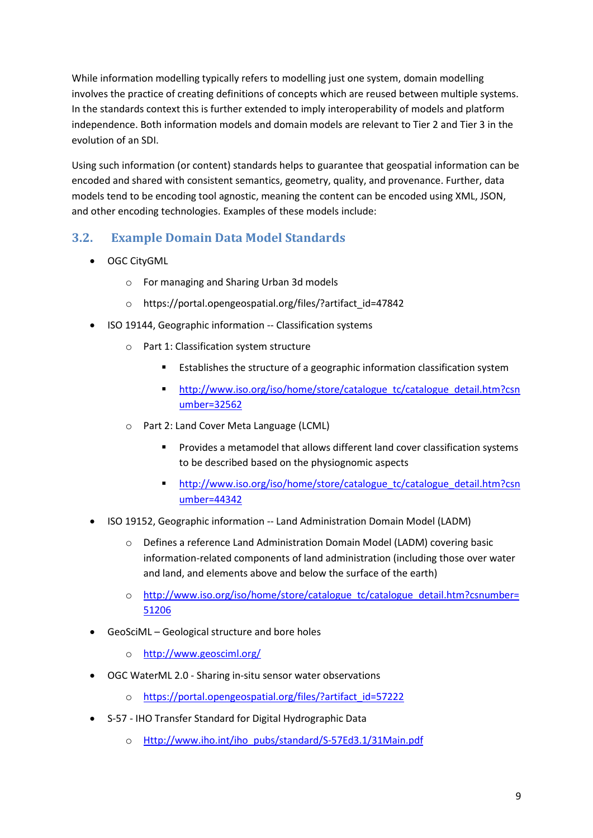While information modelling typically refers to modelling just one system, domain modelling involves the practice of creating definitions of concepts which are reused between multiple systems. In the standards context this is further extended to imply interoperability of models and platform independence. Both information models and domain models are relevant to Tier 2 and Tier 3 in the evolution of an SDI.

Using such information (or content) standards helps to guarantee that geospatial information can be encoded and shared with consistent semantics, geometry, quality, and provenance. Further, data models tend to be encoding tool agnostic, meaning the content can be encoded using XML, JSON, and other encoding technologies. Examples of these models include:

# <span id="page-9-0"></span>**3.2. Example Domain Data Model Standards**

- OGC CityGML
	- o For managing and Sharing Urban 3d models
	- o https://portal.opengeospatial.org/files/?artifact\_id=47842
- ISO 19144, Geographic information -- Classification systems
	- o Part 1: Classification system structure
		- Establishes the structure of a geographic information classification system
		- [http://www.iso.org/iso/home/store/catalogue\\_tc/catalogue\\_detail.htm?csn](http://www.iso.org/iso/home/store/catalogue_tc/catalogue_detail.htm?csnumber=32562) [umber=32562](http://www.iso.org/iso/home/store/catalogue_tc/catalogue_detail.htm?csnumber=32562)
	- o Part 2: Land Cover Meta Language (LCML)
		- Provides a metamodel that allows different land cover classification systems to be described based on the physiognomic aspects
		- [http://www.iso.org/iso/home/store/catalogue\\_tc/catalogue\\_detail.htm?csn](http://www.iso.org/iso/home/store/catalogue_tc/catalogue_detail.htm?csnumber=44342) [umber=44342](http://www.iso.org/iso/home/store/catalogue_tc/catalogue_detail.htm?csnumber=44342)
- ISO 19152, Geographic information -- Land Administration Domain Model (LADM)
	- o Defines a reference Land Administration Domain Model (LADM) covering basic information-related components of land administration (including those over water and land, and elements above and below the surface of the earth)
	- o [http://www.iso.org/iso/home/store/catalogue\\_tc/catalogue\\_detail.htm?csnumber=](http://www.iso.org/iso/home/store/catalogue_tc/catalogue_detail.htm?csnumber=51206) [51206](http://www.iso.org/iso/home/store/catalogue_tc/catalogue_detail.htm?csnumber=51206)
- GeoSciML Geological structure and bore holes
	- o <http://www.geosciml.org/>
- OGC WaterML 2.0 Sharing in-situ sensor water observations
	- o [https://portal.opengeospatial.org/files/?artifact\\_id=57222](https://portal.opengeospatial.org/files/?artifact_id=57222)
- S-57 IHO Transfer Standard for Digital Hydrographic Data
	- o [Http://www.iho.int/iho\\_pubs/standard/S-57Ed3.1/31Main.pdf](http://www.iho.int/iho_pubs/standard/S-57Ed3.1/31Main.pdf)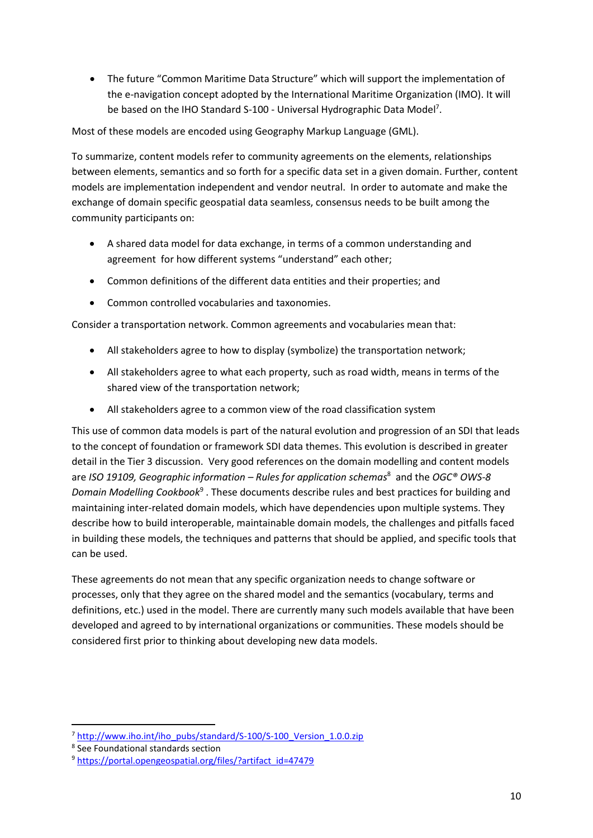The future "Common Maritime Data Structure" which will support the implementation of the e-navigation concept adopted by the International Maritime Organization (IMO). It will be based on the IHO Standard S-100 - Universal Hydrographic Data Model<sup>7</sup>.

Most of these models are encoded using Geography Markup Language (GML).

To summarize, content models refer to community agreements on the elements, relationships between elements, semantics and so forth for a specific data set in a given domain. Further, content models are implementation independent and vendor neutral. In order to automate and make the exchange of domain specific geospatial data seamless, consensus needs to be built among the community participants on:

- A shared data model for data exchange, in terms of a common understanding and agreement for how different systems "understand" each other;
- Common definitions of the different data entities and their properties; and
- Common controlled vocabularies and taxonomies.

Consider a transportation network. Common agreements and vocabularies mean that:

- All stakeholders agree to how to display (symbolize) the transportation network;
- All stakeholders agree to what each property, such as road width, means in terms of the shared view of the transportation network;
- All stakeholders agree to a common view of the road classification system

This use of common data models is part of the natural evolution and progression of an SDI that leads to the concept of foundation or framework SDI data themes. This evolution is described in greater detail in the Tier 3 discussion. Very good references on the domain modelling and content models are *ISO 19109, Geographic information – Rules for application schemas*<sup>8</sup> and the *OGC® OWS-8*  Domain Modelling Cookbook<sup>9</sup>. These documents describe rules and best practices for building and maintaining inter-related domain models, which have dependencies upon multiple systems. They describe how to build interoperable, maintainable domain models, the challenges and pitfalls faced in building these models, the techniques and patterns that should be applied, and specific tools that can be used.

These agreements do not mean that any specific organization needs to change software or processes, only that they agree on the shared model and the semantics (vocabulary, terms and definitions, etc.) used in the model. There are currently many such models available that have been developed and agreed to by international organizations or communities. These models should be considered first prior to thinking about developing new data models.

**.** 

<sup>&</sup>lt;sup>7</sup> [http://www.iho.int/iho\\_pubs/standard/S-100/S-100\\_Version\\_1.0.0.zip](http://www.iho.int/iho_pubs/standard/S-100/S-100_Version_1.0.0.zip)

<sup>8</sup> See Foundational standards section

<sup>9</sup> [https://portal.opengeospatial.org/files/?artifact\\_id=47479](https://portal.opengeospatial.org/files/?artifact_id=47479)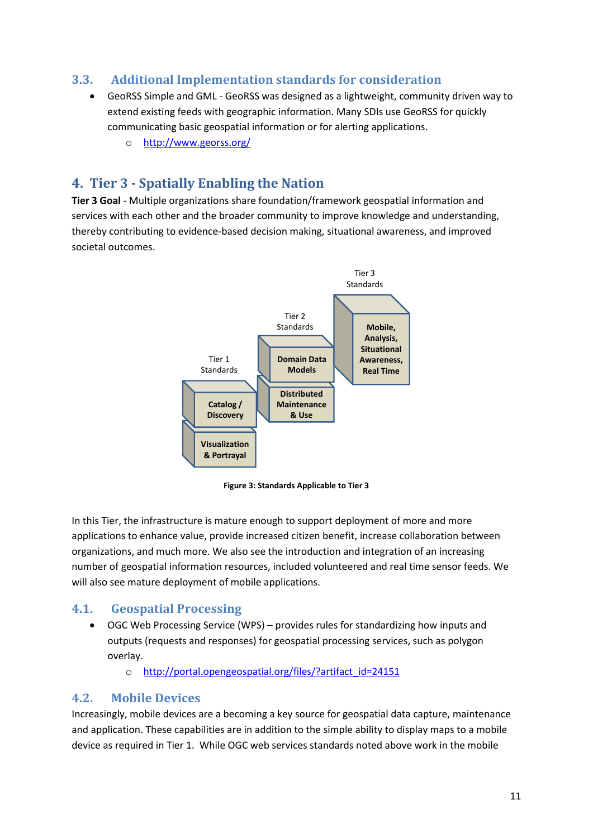## <span id="page-11-0"></span>**3.3. Additional Implementation standards for consideration**

- GeoRSS Simple and GML GeoRSS was designed as a lightweight, community driven way to extend existing feeds with geographic information. Many SDIs use GeoRSS for quickly communicating basic geospatial information or for alerting applications.
	- o <http://www.georss.org/>

# <span id="page-11-1"></span>**4. Tier 3 - Spatially Enabling the Nation**

**Tier 3 Goal** - Multiple organizations share foundation/framework geospatial information and services with each other and the broader community to improve knowledge and understanding, thereby contributing to evidence-based decision making, situational awareness, and improved societal outcomes.



**Figure 3: Standards Applicable to Tier 3**

In this Tier, the infrastructure is mature enough to support deployment of more and more applications to enhance value, provide increased citizen benefit, increase collaboration between organizations, and much more. We also see the introduction and integration of an increasing number of geospatial information resources, included volunteered and real time sensor feeds. We will also see mature deployment of mobile applications.

### <span id="page-11-2"></span>**4.1. Geospatial Processing**

- OGC Web Processing Service (WPS) provides rules for standardizing how inputs and outputs (requests and responses) for geospatial processing services, such as polygon overlay.
	- o [http://portal.opengeospatial.org/files/?artifact\\_id=24151](http://portal.opengeospatial.org/files/?artifact_id=24151)

### <span id="page-11-3"></span>**4.2. Mobile Devices**

Increasingly, mobile devices are a becoming a key source for geospatial data capture, maintenance and application. These capabilities are in addition to the simple ability to display maps to a mobile device as required in Tier 1. While OGC web services standards noted above work in the mobile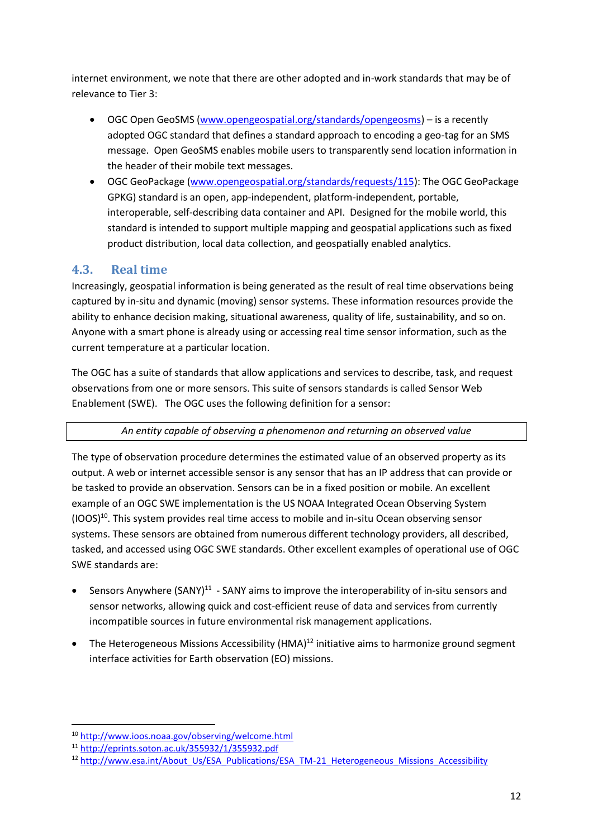internet environment, we note that there are other adopted and in-work standards that may be of relevance to Tier 3:

- OGC Open GeoSMS [\(www.opengeospatial.org/standards/opengeosms\)](http://www.opengeospatial.org/standards/opengeosms) is a recently adopted OGC standard that defines a standard approach to encoding a geo-tag for an SMS message. Open GeoSMS enables mobile users to transparently send location information in the header of their mobile text messages.
- OGC GeoPackage [\(www.opengeospatial.org/standards/requests/115\)](http://www.opengeospatial.org/standards/requests/115): The OGC GeoPackage GPKG) standard is an open, app-independent, platform-independent, portable, interoperable, self-describing data container and API. Designed for the mobile world, this standard is intended to support multiple mapping and geospatial applications such as fixed product distribution, local data collection, and geospatially enabled analytics.

# <span id="page-12-0"></span>**4.3. Real time**

Increasingly, geospatial information is being generated as the result of real time observations being captured by in-situ and dynamic (moving) sensor systems. These information resources provide the ability to enhance decision making, situational awareness, quality of life, sustainability, and so on. Anyone with a smart phone is already using or accessing real time sensor information, such as the current temperature at a particular location.

The OGC has a suite of standards that allow applications and services to describe, task, and request observations from one or more sensors. This suite of sensors standards is called Sensor Web Enablement (SWE). The OGC uses the following definition for a sensor:

### *An entity capable of observing a phenomenon and returning an observed value*

The type of observation procedure determines the estimated value of an observed property as its output. A web or internet accessible sensor is any sensor that has an IP address that can provide or be tasked to provide an observation. Sensors can be in a fixed position or mobile. An excellent example of an OGC SWE implementation is the US NOAA Integrated Ocean Observing System  $(100S)^{10}$ . This system provides real time access to mobile and in-situ Ocean observing sensor systems. These sensors are obtained from numerous different technology providers, all described, tasked, and accessed using OGC SWE standards. Other excellent examples of operational use of OGC SWE standards are:

- Sensors Anywhere  $(SANY)^{11}$  SANY aims to improve the interoperability of in-situ sensors and sensor networks, allowing quick and cost-efficient reuse of data and services from currently incompatible sources in future environmental risk management applications.
- The Heterogeneous Missions Accessibility (HMA)<sup>12</sup> initiative aims to harmonize ground segment interface activities for Earth observation (EO) missions.

**.** 

<sup>10</sup> <http://www.ioos.noaa.gov/observing/welcome.html>

<sup>11</sup> <http://eprints.soton.ac.uk/355932/1/355932.pdf>

<sup>&</sup>lt;sup>12</sup> [http://www.esa.int/About\\_Us/ESA\\_Publications/ESA\\_TM-21\\_Heterogeneous\\_Missions\\_Accessibility](http://www.esa.int/About_Us/ESA_Publications/ESA_TM-21_Heterogeneous_Missions_Accessibility)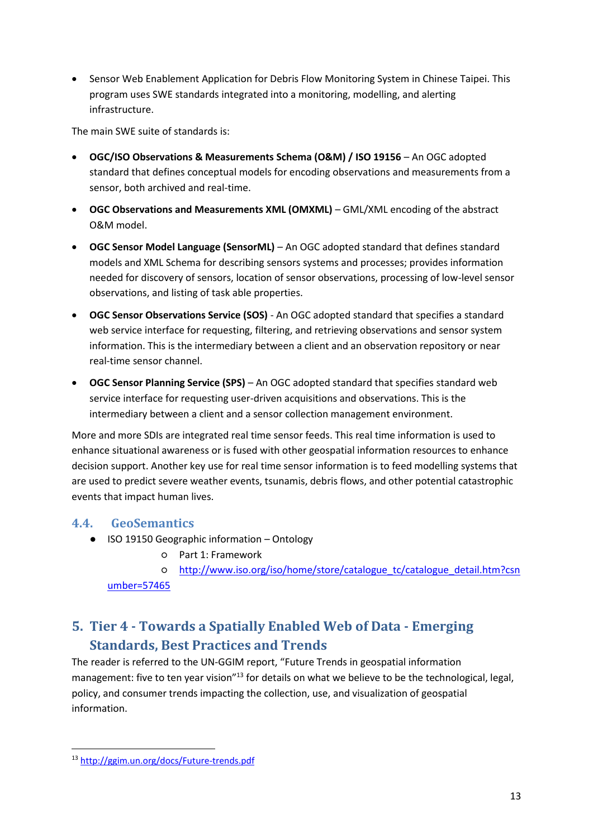Sensor Web Enablement Application for Debris Flow Monitoring System in Chinese Taipei. This program uses SWE standards integrated into a monitoring, modelling, and alerting infrastructure.

The main SWE suite of standards is:

- **OGC/ISO Observations & Measurements Schema (O&M) / ISO 19156** An OGC adopted standard that defines conceptual models for encoding observations and measurements from a sensor, both archived and real-time.
- **OGC Observations and Measurements XML (OMXML)** GML/XML encoding of the abstract O&M model.
- **OGC Sensor Model Language (SensorML)** An OGC adopted standard that defines standard models and XML Schema for describing sensors systems and processes; provides information needed for discovery of sensors, location of sensor observations, processing of low-level sensor observations, and listing of task able properties.
- **OGC Sensor Observations Service (SOS)** An OGC adopted standard that specifies a standard web service interface for requesting, filtering, and retrieving observations and sensor system information. This is the intermediary between a client and an observation repository or near real-time sensor channel.
- **OGC Sensor Planning Service (SPS)** An OGC adopted standard that specifies standard web service interface for requesting user-driven acquisitions and observations. This is the intermediary between a client and a sensor collection management environment.

More and more SDIs are integrated real time sensor feeds. This real time information is used to enhance situational awareness or is fused with other geospatial information resources to enhance decision support. Another key use for real time sensor information is to feed modelling systems that are used to predict severe weather events, tsunamis, debris flows, and other potential catastrophic events that impact human lives.

### <span id="page-13-0"></span>**4.4. GeoSemantics**

- ISO 19150 Geographic information Ontology
	- Part 1: Framework
	- [http://www.iso.org/iso/home/store/catalogue\\_tc/catalogue\\_detail.htm?csn](http://www.iso.org/iso/home/store/catalogue_tc/catalogue_detail.htm?csnumber=57465) [umber=57465](http://www.iso.org/iso/home/store/catalogue_tc/catalogue_detail.htm?csnumber=57465)

# <span id="page-13-1"></span>**5. Tier 4 - Towards a Spatially Enabled Web of Data - Emerging Standards, Best Practices and Trends**

The reader is referred to the UN-GGIM report, "Future Trends in geospatial information management: five to ten year vision"<sup>13</sup> for details on what we believe to be the technological, legal, policy, and consumer trends impacting the collection, use, and visualization of geospatial information.

**<sup>.</sup>** <sup>13</sup> <http://ggim.un.org/docs/Future-trends.pdf>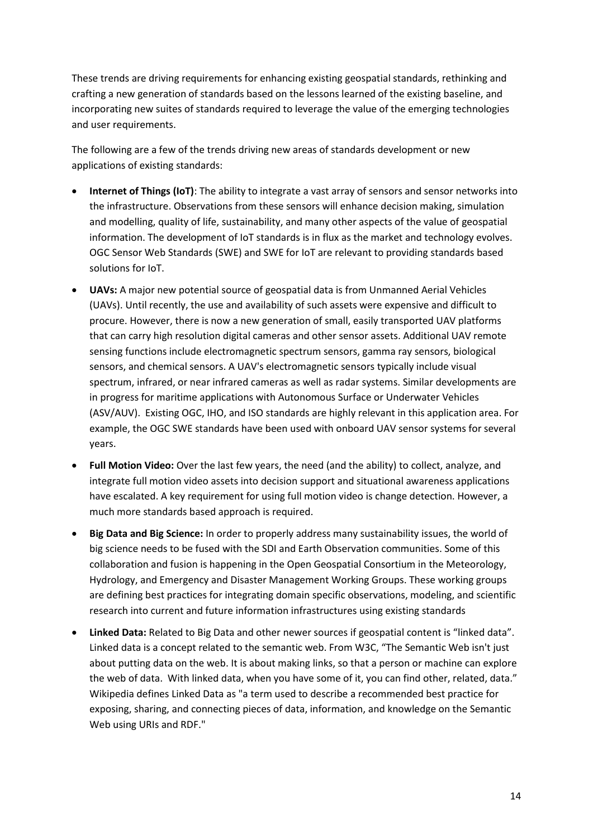These trends are driving requirements for enhancing existing geospatial standards, rethinking and crafting a new generation of standards based on the lessons learned of the existing baseline, and incorporating new suites of standards required to leverage the value of the emerging technologies and user requirements.

The following are a few of the trends driving new areas of standards development or new applications of existing standards:

- **Internet of Things (IoT)**: The ability to integrate a vast array of sensors and sensor networks into the infrastructure. Observations from these sensors will enhance decision making, simulation and modelling, quality of life, sustainability, and many other aspects of the value of geospatial information. The development of IoT standards is in flux as the market and technology evolves. OGC Sensor Web Standards (SWE) and SWE for IoT are relevant to providing standards based solutions for IoT.
- **UAVs:** A major new potential source of geospatial data is from Unmanned Aerial Vehicles (UAVs). Until recently, the use and availability of such assets were expensive and difficult to procure. However, there is now a new generation of small, easily transported UAV platforms that can carry high resolution digital cameras and other sensor assets. Additional UAV remote sensing functions include electromagnetic spectrum sensors, gamma ray sensors, biological sensors, and chemical sensors. A UAV's electromagnetic sensors typically include visual spectrum, infrared, or near infrared cameras as well as radar systems. Similar developments are in progress for maritime applications with Autonomous Surface or Underwater Vehicles (ASV/AUV). Existing OGC, IHO, and ISO standards are highly relevant in this application area. For example, the OGC SWE standards have been used with onboard UAV sensor systems for several years.
- **Full Motion Video:** Over the last few years, the need (and the ability) to collect, analyze, and integrate full motion video assets into decision support and situational awareness applications have escalated. A key requirement for using full motion video is change detection. However, a much more standards based approach is required.
- **Big Data and Big Science:** In order to properly address many sustainability issues, the world of big science needs to be fused with the SDI and Earth Observation communities. Some of this collaboration and fusion is happening in the Open Geospatial Consortium in the Meteorology, Hydrology, and Emergency and Disaster Management Working Groups. These working groups are defining best practices for integrating domain specific observations, modeling, and scientific research into current and future information infrastructures using existing standards
- **Linked Data:** Related to Big Data and other newer sources if geospatial content is "linked data". Linked data is a concept related to the semantic web. From W3C, "The Semantic Web isn't just about putting data on the web. It is about making links, so that a person or machine can explore the web of data. With linked data, when you have some of it, you can find other, related, data." Wikipedia defines Linked Data as "a term used to describe a recommended best practice for exposing, sharing, and connecting pieces of data, information, and knowledge on the Semantic Web using URIs and RDF."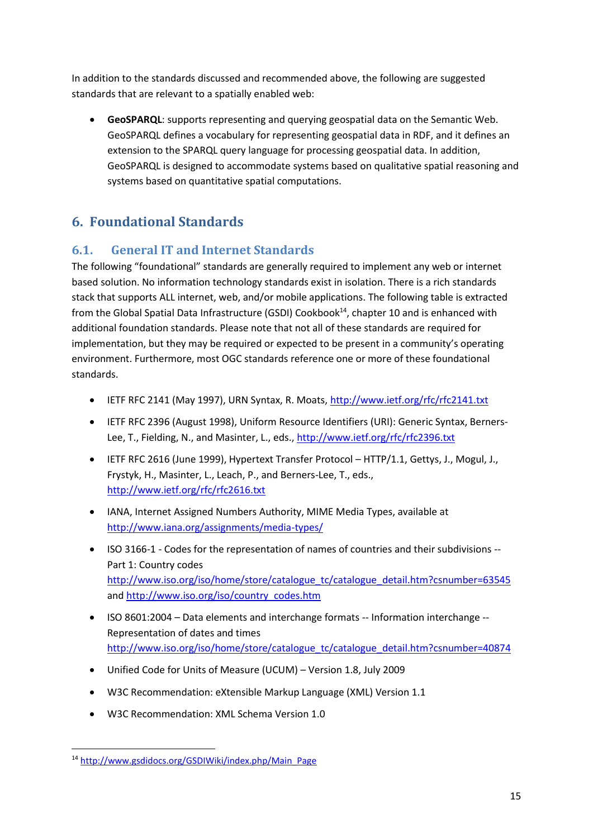In addition to the standards discussed and recommended above, the following are suggested standards that are relevant to a spatially enabled web:

 **GeoSPARQL**: supports representing and querying geospatial data on the Semantic Web. GeoSPARQL defines a vocabulary for representing geospatial data in RDF, and it defines an extension to the SPARQL query language for processing geospatial data. In addition, GeoSPARQL is designed to accommodate systems based on qualitative spatial reasoning and systems based on quantitative spatial computations.

# <span id="page-15-0"></span>**6. Foundational Standards**

# <span id="page-15-1"></span>**6.1. General IT and Internet Standards**

The following "foundational" standards are generally required to implement any web or internet based solution. No information technology standards exist in isolation. There is a rich standards stack that supports ALL internet, web, and/or mobile applications. The following table is extracted from the Global Spatial Data Infrastructure (GSDI) Cookbook<sup>14</sup>, chapter 10 and is enhanced with additional foundation standards. Please note that not all of these standards are required for implementation, but they may be required or expected to be present in a community's operating environment. Furthermore, most OGC standards reference one or more of these foundational standards.

- IETF RFC 2141 (May 1997), URN Syntax, R. Moats[, http://www.ietf.org/rfc/rfc2141.txt](http://www.ietf.org/rfc/rfc2141.txt)
- IETF RFC 2396 (August 1998), Uniform Resource Identifiers (URI): Generic Syntax, Berners-Lee, T., Fielding, N., and Masinter, L., eds.,<http://www.ietf.org/rfc/rfc2396.txt>
- IETF RFC 2616 (June 1999), Hypertext Transfer Protocol HTTP/1.1, Gettys, J., Mogul, J., Frystyk, H., Masinter, L., Leach, P., and Berners-Lee, T., eds., <http://www.ietf.org/rfc/rfc2616.txt>
- IANA, Internet Assigned Numbers Authority, MIME Media Types, available at <http://www.iana.org/assignments/media-types/>
- ISO 3166-1 Codes for the representation of names of countries and their subdivisions -- Part 1: Country codes [http://www.iso.org/iso/home/store/catalogue\\_tc/catalogue\\_detail.htm?csnumber=63545](http://www.iso.org/iso/home/store/catalogue_tc/catalogue_detail.htm?csnumber=63545) and [http://www.iso.org/iso/country\\_codes.htm](http://www.iso.org/iso/country_codes.htm)
- ISO 8601:2004 Data elements and interchange formats -- Information interchange -- Representation of dates and times [http://www.iso.org/iso/home/store/catalogue\\_tc/catalogue\\_detail.htm?csnumber=40874](http://www.iso.org/iso/home/store/catalogue_tc/catalogue_detail.htm?csnumber=40874)
- Unified Code for Units of Measure (UCUM) Version 1.8, July 2009
- W3C Recommendation: eXtensible Markup Language (XML) Version 1.1
- W3C Recommendation: XML Schema Version 1.0

**<sup>.</sup>** <sup>14</sup> [http://www.gsdidocs.org/GSDIWiki/index.php/Main\\_Page](http://www.gsdidocs.org/GSDIWiki/index.php/Main_Page)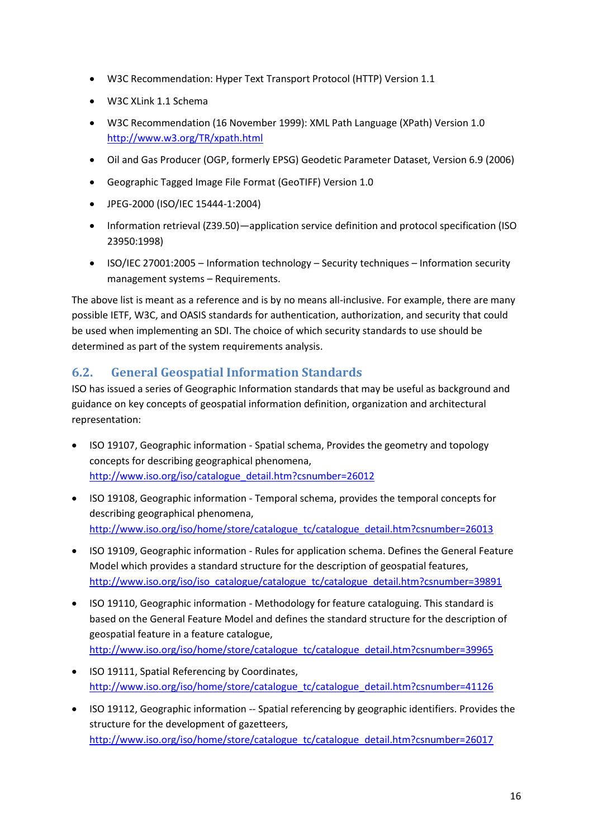- W3C Recommendation: Hyper Text Transport Protocol (HTTP) Version 1.1
- W3C XLink 1.1 Schema
- W3C Recommendation (16 November 1999): XML Path Language (XPath) Version 1.0 <http://www.w3.org/TR/xpath.html>
- Oil and Gas Producer (OGP, formerly EPSG) Geodetic Parameter Dataset, Version 6.9 (2006)
- Geographic Tagged Image File Format (GeoTIFF) Version 1.0
- JPEG-2000 (ISO/IEC 15444-1:2004)
- Information retrieval (Z39.50)—application service definition and protocol specification (ISO 23950:1998)
- ISO/IEC 27001:2005 Information technology Security techniques Information security management systems – Requirements.

The above list is meant as a reference and is by no means all-inclusive. For example, there are many possible IETF, W3C, and OASIS standards for authentication, authorization, and security that could be used when implementing an SDI. The choice of which security standards to use should be determined as part of the system requirements analysis.

## <span id="page-16-0"></span>**6.2. General Geospatial Information Standards**

ISO has issued a series of Geographic Information standards that may be useful as background and guidance on key concepts of geospatial information definition, organization and architectural representation:

- ISO 19107, Geographic information Spatial schema, Provides the geometry and topology concepts for describing geographical phenomena, [http://www.iso.org/iso/catalogue\\_detail.htm?csnumber=26012](http://www.iso.org/iso/catalogue_detail.htm?csnumber=26012)
- ISO 19108, Geographic information Temporal schema, provides the temporal concepts for describing geographical phenomena, [http://www.iso.org/iso/home/store/catalogue\\_tc/catalogue\\_detail.htm?csnumber=26013](http://www.iso.org/iso/home/store/catalogue_tc/catalogue_detail.htm?csnumber=26013)
- ISO 19109, Geographic information Rules for application schema. Defines the General Feature Model which provides a standard structure for the description of geospatial features, [http://www.iso.org/iso/iso\\_catalogue/catalogue\\_tc/catalogue\\_detail.htm?csnumber=39891](http://www.iso.org/iso/iso_catalogue/catalogue_tc/catalogue_detail.htm?csnumber=39891)
- ISO 19110, Geographic information Methodology for feature cataloguing. This standard is based on the General Feature Model and defines the standard structure for the description of geospatial feature in a feature catalogue, [http://www.iso.org/iso/home/store/catalogue\\_tc/catalogue\\_detail.htm?csnumber=39965](http://www.iso.org/iso/home/store/catalogue_tc/catalogue_detail.htm?csnumber=39965)
- ISO 19111, Spatial Referencing by Coordinates, [http://www.iso.org/iso/home/store/catalogue\\_tc/catalogue\\_detail.htm?csnumber=41126](http://www.iso.org/iso/home/store/catalogue_tc/catalogue_detail.htm?csnumber=41126)
- ISO 19112, Geographic information -- Spatial referencing by geographic identifiers. Provides the structure for the development of gazetteers, [http://www.iso.org/iso/home/store/catalogue\\_tc/catalogue\\_detail.htm?csnumber=26017](http://www.iso.org/iso/home/store/catalogue_tc/catalogue_detail.htm?csnumber=26017)